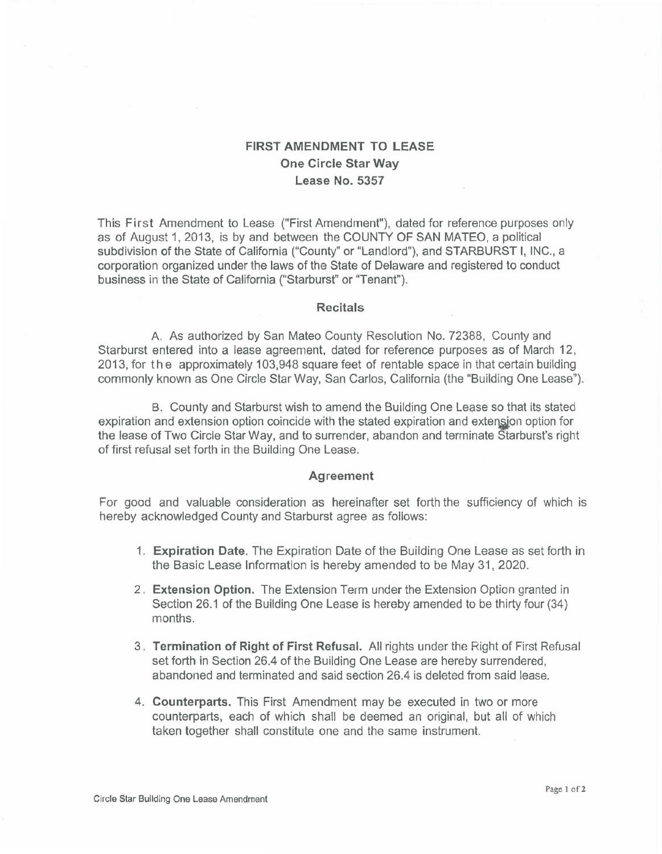## FIRST AMENDMENT TO LEASE One Circle Star Way Lease No. 5357

This First Amendment to Lease ("First Amendment"), dated for reference purposes only as of August 1, 2013, is by and between the COUNTY OF SAN MATEO, a political subdivision of the State of California ("County" or "Landlord"), and STARBURST I, INC., a corporation organized under the laws of the State of Delaware and registered to conduct business in the State of California ("Starburst" or ''Tenant").

## **Recitals**

A. As authorized by San Mateo County Resolution No. 72388, County and Starburst entered into a lease agreement, dated for reference purposes as of March 12, 2013, for the approximately 103,948 square feet of rentable space in that certain building commonly known as One Circle Star Way, San Carlos, California (the "Building One Lease").

B. County and Starburst wish to amend the Building One Lease so that its stated expiration and extension option coincide with the stated expiration and extension option for the lease of Two Circle Star Way, and to surrender, abandon and terminate Starburst's right of first refusal set forth in the Building One Lease.

## Agreement

For good and valuable consideration as hereinafter set forth the sufficiency of which is hereby acknowledged County and Starburst agree as follows:

- 1. Expiration Date. The Expiration Date of the Building One Lease as set forth in the Basic Lease Information is hereby amended to be May 31, 2020.
- 2 . Extension Option. The Extension Term under the Extension Option granted in Section 26.1 of the Building One Lease is hereby amended to be thirty four (34) months.
- 3 . Termination of Right of First Refusal. All rights under the Right of First Refusal set forth in Section 26.4 of the Building One Lease are hereby surrendered, abandoned and terminated and said section 26.4 is deleted from said lease.
- 4. Counterparts. This First Amendment may be executed in two or more counterparts, each of which shall be deemed an original, but all of which taken together shall constitute one and the same instrument.